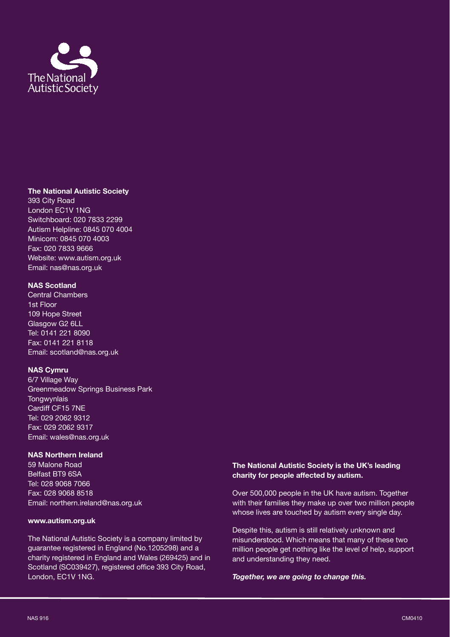

#### **The National Autistic Society**

393 City Road London EC1V 1NG Switchboard: 020 7833 2299 Autism Helpline: 0845 070 4004 Minicom: 0845 070 4003 Fax: 020 7833 9666 Website: www.autism.org.uk Email: nas@nas.org.uk

#### **NAS Scotland**

Central Chambers 1st Floor 109 Hope Street Glasgow G2 6LL Tel: 0141 221 8090 Fax: 0141 221 8118 Email: scotland@nas.org.uk

#### **NAS Cymru**

6/7 Village Way Greenmeadow Springs Business Park **Tongwynlais** Cardiff CF15 7NE Tel: 029 2062 9312 Fax: 029 2062 9317 Email: wales@nas.org.uk

#### **NAS Northern Ireland**

59 Malone Road Belfast BT9 6SA Tel: 028 9068 7066 Fax: 028 9068 8518 Email: northern.ireland@nas.org.uk

#### **www.autism.org.uk**

The National Autistic Society is a company limited by guarantee registered in England (No.1205298) and a charity registered in England and Wales (269425) and in Scotland (SC039427), registered office 393 City Road, London, EC1V 1NG.

#### **The National Autistic Society is the UK's leading charity for people affected by autism.**

Over 500,000 people in the UK have autism. Together with their families they make up over two million people whose lives are touched by autism every single day.

Despite this, autism is still relatively unknown and misunderstood. Which means that many of these two million people get nothing like the level of help, support and understanding they need.

*Together, we are going to change this.*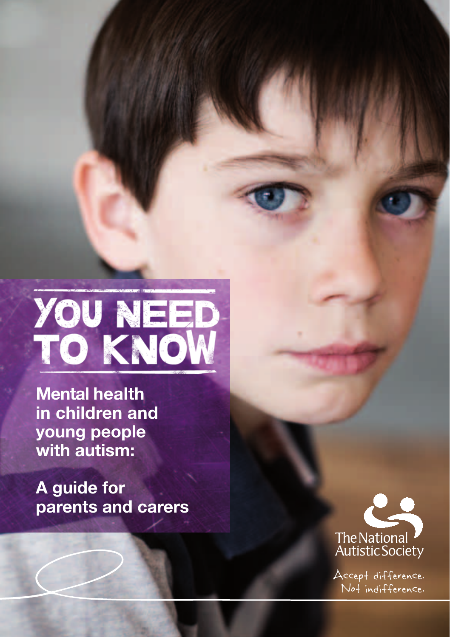# YOU NEED<br>TO KNOW

**Mental health in children and young people with autism:** 

**A guide for parents and carers**



Accept difference. Not indifference.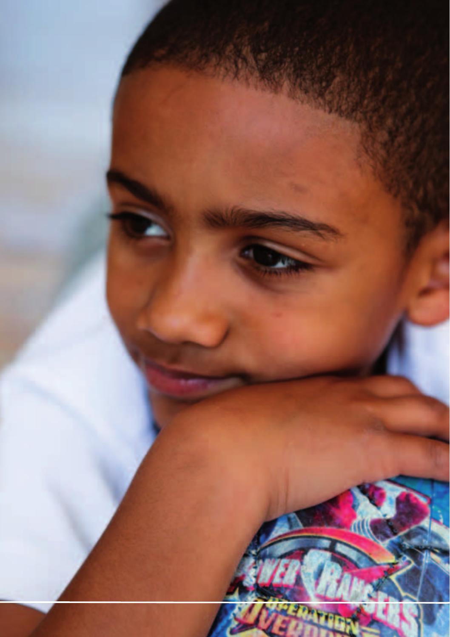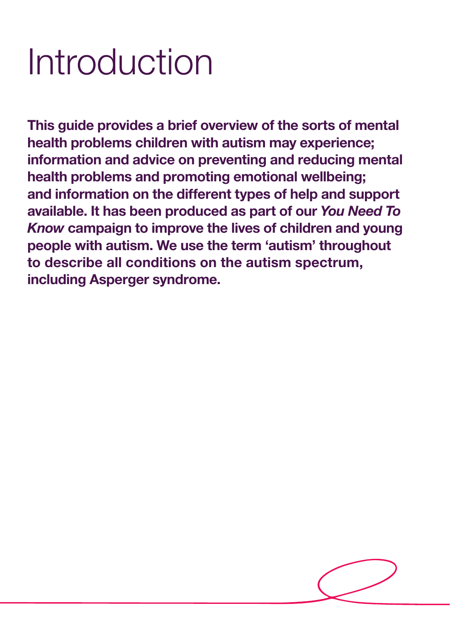# Introduction

**This guide provides a brief overview of the sorts of mental health problems children with autism may experience; information and advice on preventing and reducing mental health problems and promoting emotional wellbeing; and information on the different types of help and support available. It has been produced as part of our** *You Need To Know* **campaign to improve the lives of children and young people with autism. We use the term 'autism' throughout to describe all conditions on the autism spectrum, including Asperger syndrome.**

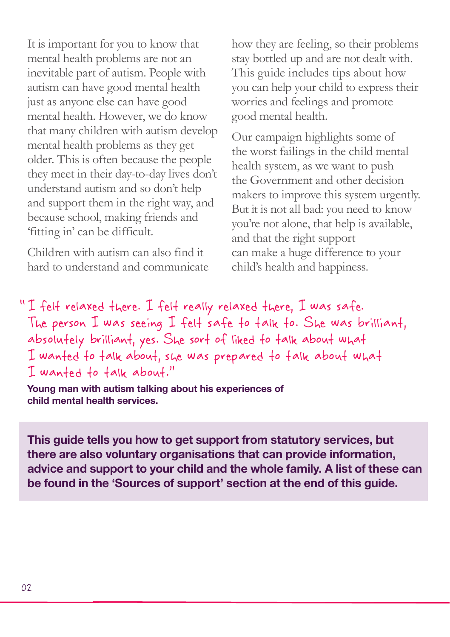It is important for you to know that mental health problems are not an inevitable part of autism. People with autism can have good mental health just as anyone else can have good mental health. However, we do know that many children with autism develop mental health problems as they get older. This is often because the people they meet in their day-to-day lives don't understand autism and so don't help and support them in the right way, and because school, making friends and 'fitting in' can be difficult.

Children with autism can also find it hard to understand and communicate

how they are feeling, so their problems stay bottled up and are not dealt with. This guide includes tips about how you can help your child to express their worries and feelings and promote good mental health.

Our campaign highlights some of the worst failings in the child mental health system, as we want to push the Government and other decision makers to improve this system urgently. But it is not all bad: you need to know you're not alone, that help is available, and that the right support can make a huge difference to your child's health and happiness.

" I felt relaxed there. I felt really relaxed there, I was safe. The person I was seeing I felt safe to talk to. She was brilliant, absolutely brilliant, yes. She sort of liked to talk about what I wanted to talk about, she was prepared to talk about what I wanted to talk about."

**Young man with autism talking about his experiences of child mental health services.**

**This guide tells you how to get support from statutory services, but there are also voluntary organisations that can provide information, advice and support to your child and the whole family. A list of these can be found in the 'Sources of support' section at the end of this guide.**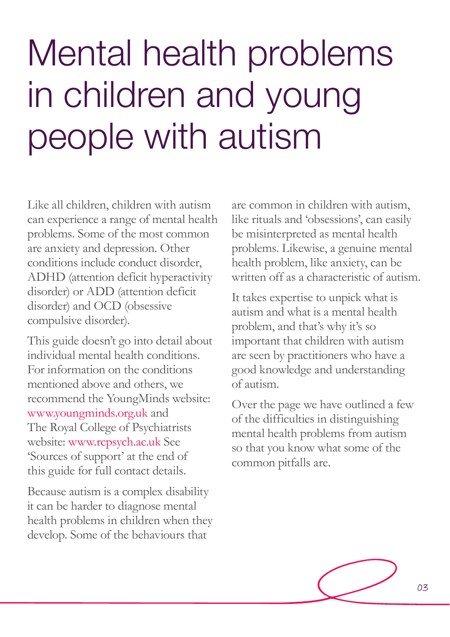# Mental health problems in children and young people with autism

Like all children, children with autism can experience a range of mental health problems. Some of the most common are anxiety and depression. Other conditions include conduct disorder, ADHD (attention deficit hyperactivity disorder) or ADD (attention deficit disorder) and OCD (obsessive compulsive disorder).

This guide doesn't go into detail about individual mental health conditions. For information on the conditions mentioned above and others, we recommend the YoungMinds website: www.youngminds.org.uk and The Royal College of Psychiatrists website: www.rcpsych.ac.uk See 'Sources of support' at the end of this guide for full contact details.

Because autism is a complex disability it can be harder to diagnose mental health problems in children when they develop. Some of the behaviours that

are common in children with autism, like rituals and 'obsessions', can easily be misinterpreted as mental health problems. Likewise, a genuine mental health problem, like anxiety, can be written off as a characteristic of autism.

It takes expertise to unpick what is autism and what is a mental health problem, and that's why it's so important that children with autism are seen by practitioners who have a good knowledge and understanding of autism.

Over the page we have outlined a few of the difficulties in distinguishing mental health problems from autism so that you know what some of the common pitfalls are.

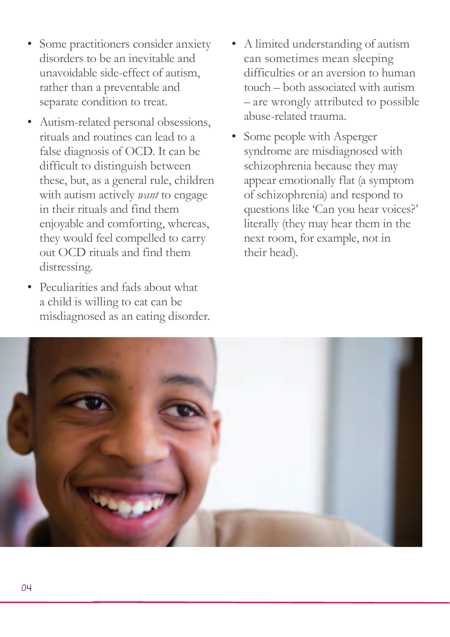- Some practitioners consider anxiety disorders to be an inevitable and unavoidable side-effect of autism, rather than a preventable and separate condition to treat.
- Autism-related personal obsessions, rituals and routines can lead to a false diagnosis of OCD. It can be difficult to distinguish between these, but, as a general rule, children with autism actively *want* to engage in their rituals and find them enjoyable and comforting, whereas, they would feel compelled to carry out OCD rituals and find them distressing.
- Peculiarities and fads about what a child is willing to eat can be misdiagnosed as an eating disorder.
- A limited understanding of autism can sometimes mean sleeping difficulties or an aversion to human touch – both associated with autism – are wrongly attributed to possible abuse-related trauma.
- Some people with Asperger syndrome are misdiagnosed with schizophrenia because they may appear emotionally flat (a symptom of schizophrenia) and respond to questions like 'Can you hear voices?' literally (they may hear them in the next room, for example, not in their head).

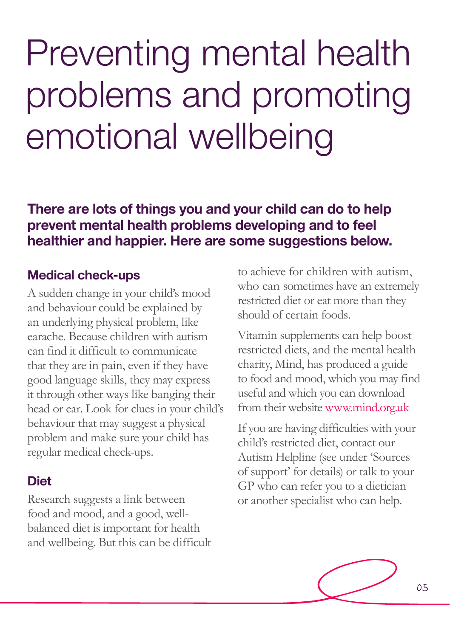# Preventing mental health problems and promoting emotional wellbeing

#### **There are lots of things you and your child can do to help prevent mental health problems developing and to feel healthier and happier. Here are some suggestions below.**

#### **Medical check-ups**

A sudden change in your child's mood and behaviour could be explained by an underlying physical problem, like earache. Because children with autism can find it difficult to communicate that they are in pain, even if they have good language skills, they may express it through other ways like banging their head or ear. Look for clues in your child's behaviour that may suggest a physical problem and make sure your child has regular medical check-ups.

#### **Diet**

Research suggests a link between food and mood, and a good, wellbalanced diet is important for health and wellbeing. But this can be difficult to achieve for children with autism, who can sometimes have an extremely restricted diet or eat more than they should of certain foods.

Vitamin supplements can help boost restricted diets, and the mental health charity, Mind, has produced a guide to food and mood, which you may find useful and which you can download from their website www.mind.org.uk

If you are having difficulties with your child's restricted diet, contact our Autism Helpline (see under 'Sources of support' for details) or talk to your GP who can refer you to a dietician or another specialist who can help.

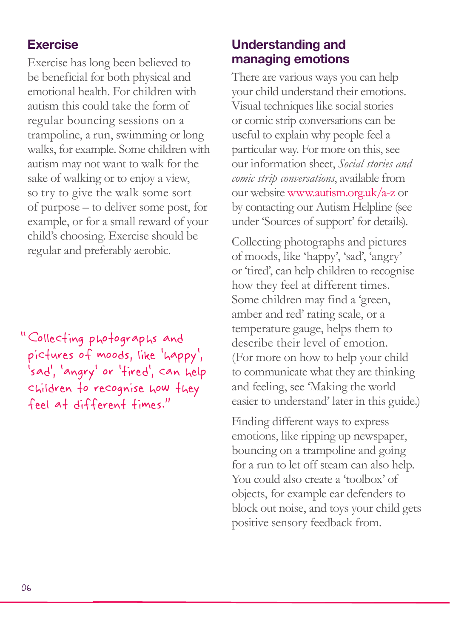#### **Exercise**

Exercise has long been believed to be beneficial for both physical and emotional health. For children with autism this could take the form of regular bouncing sessions on a trampoline, a run, swimming or long walks, for example. Some children with autism may not want to walk for the sake of walking or to enjoy a view, so try to give the walk some sort of purpose – to deliver some post, for example, or for a small reward of your child's choosing. Exercise should be regular and preferably aerobic.

" Collecting photographs and pictures of moods, like 'happy', 'sad', 'angry' or 'tired', can help children to recognise how they feel at different times."

#### **Understanding and managing emotions**

There are various ways you can help your child understand their emotions. Visual techniques like social stories or comic strip conversations can be useful to explain why people feel a particular way. For more on this, see our information sheet, *Social stories and comic strip conversations*, available from our website www.autism.org.uk/a-z or by contacting our Autism Helpline (see under 'Sources of support' for details).

Collecting photographs and pictures of moods, like 'happy', 'sad', 'angry' or 'tired', can help children to recognise how they feel at different times. Some children may find a 'green, amber and red' rating scale, or a temperature gauge, helps them to describe their level of emotion. (For more on how to help your child to communicate what they are thinking and feeling, see 'Making the world easier to understand' later in this guide.)

Finding different ways to express emotions, like ripping up newspaper, bouncing on a trampoline and going for a run to let off steam can also help. You could also create a 'toolbox' of objects, for example ear defenders to block out noise, and toys your child gets positive sensory feedback from.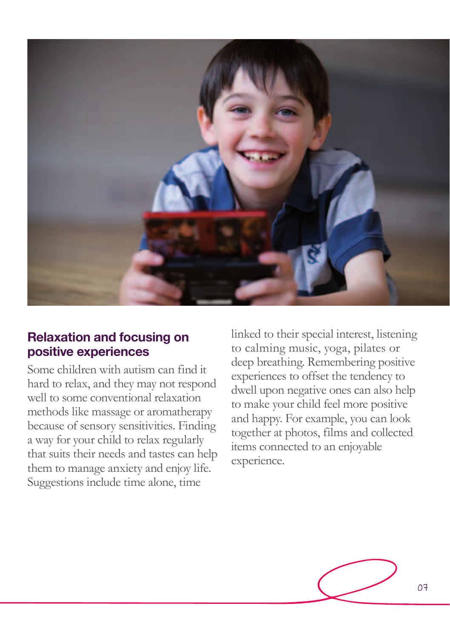

#### **Relaxation and focusing on positive experiences**

Some children with autism can find it hard to relax, and they may not respond well to some conventional relaxation methods like massage or aromatherapy because of sensory sensitivities. Finding a way for your child to relax regularly that suits their needs and tastes can help them to manage anxiety and enjoy life. Suggestions include time alone, time

linked to their special interest, listening to calming music, yoga, pilates or deep breathing. Remembering positive experiences to offset the tendency to dwell upon negative ones can also help to make your child feel more positive and happy. For example, you can look together at photos, films and collected items connected to an enjoyable experience.

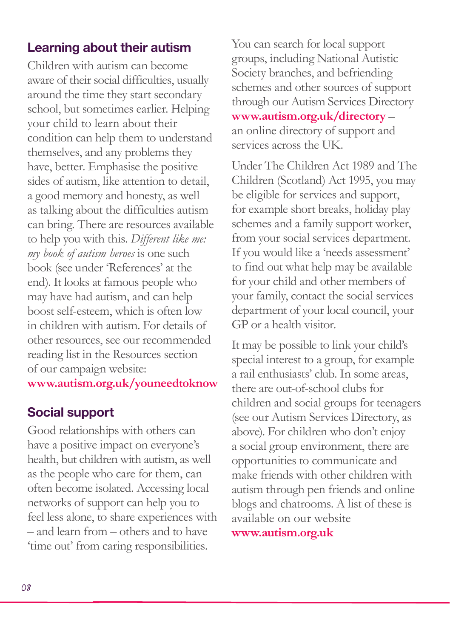#### **Learning about their autism**

Children with autism can become aware of their social difficulties, usually around the time they start secondary school, but sometimes earlier. Helping your child to learn about their condition can help them to understand themselves, and any problems they have, better. Emphasise the positive sides of autism, like attention to detail, a good memory and honesty, as well as talking about the difficulties autism can bring. There are resources available to help you with this. *Different like me: my book of autism heroes* is one such book (see under 'References' at the end). It looks at famous people who may have had autism, and can help boost self-esteem, which is often low in children with autism. For details of other resources, see our recommended reading list in the Resources section of our campaign website: **www.autism.org.uk/youneedtoknow**

#### **Social support**

Good relationships with others can have a positive impact on everyone's health, but children with autism, as well as the people who care for them, can often become isolated. Accessing local networks of support can help you to feel less alone, to share experiences with – and learn from – others and to have 'time out' from caring responsibilities.

You can search for local support groups, including National Autistic Society branches, and befriending schemes and other sources of support through our Autism Services Directory **www.autism.org.uk/directory** – an online directory of support and services across the UK.

Under The Children Act 1989 and The Children (Scotland) Act 1995, you may be eligible for services and support, for example short breaks, holiday play schemes and a family support worker, from your social services department. If you would like a 'needs assessment' to find out what help may be available for your child and other members of your family, contact the social services department of your local council, your GP or a health visitor.

It may be possible to link your child's special interest to a group, for example a rail enthusiasts' club. In some areas, there are out-of-school clubs for children and social groups for teenagers (see our Autism Services Directory, as above). For children who don't enjoy a social group environment, there are opportunities to communicate and make friends with other children with autism through pen friends and online blogs and chatrooms. A list of these is available on our website **www.autism.org.uk**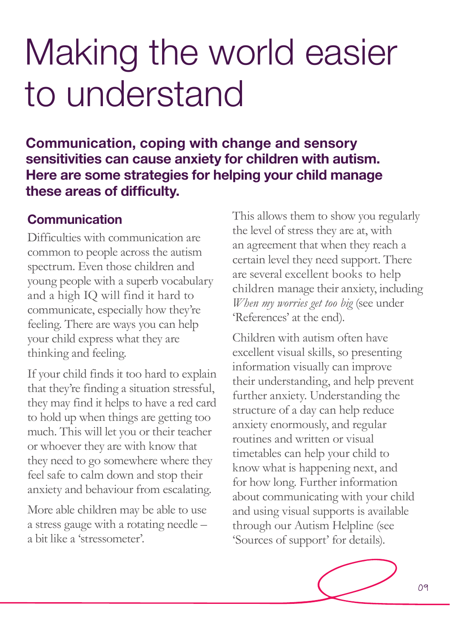## Making the world easier to understand

**Communication, coping with change and sensory sensitivities can cause anxiety for children with autism. Here are some strategies for helping your child manage these areas of difficulty.** 

#### **Communication**

Difficulties with communication are common to people across the autism spectrum. Even those children and young people with a superb vocabulary and a high IQ will find it hard to communicate, especially how they're feeling. There are ways you can help your child express what they are thinking and feeling.

If your child finds it too hard to explain that they're finding a situation stressful, they may find it helps to have a red card to hold up when things are getting too much. This will let you or their teacher or whoever they are with know that they need to go somewhere where they feel safe to calm down and stop their anxiety and behaviour from escalating.

More able children may be able to use a stress gauge with a rotating needle – a bit like a 'stressometer'.

This allows them to show you regularly the level of stress they are at, with an agreement that when they reach a certain level they need support. There are several excellent books to help children manage their anxiety, including *When my worries get too big* (see under 'References' at the end).

Children with autism often have excellent visual skills, so presenting information visually can improve their understanding, and help prevent further anxiety. Understanding the structure of a day can help reduce anxiety enormously, and regular routines and written or visual timetables can help your child to know what is happening next, and for how long. Further information about communicating with your child and using visual supports is available through our Autism Helpline (see 'Sources of support' for details).

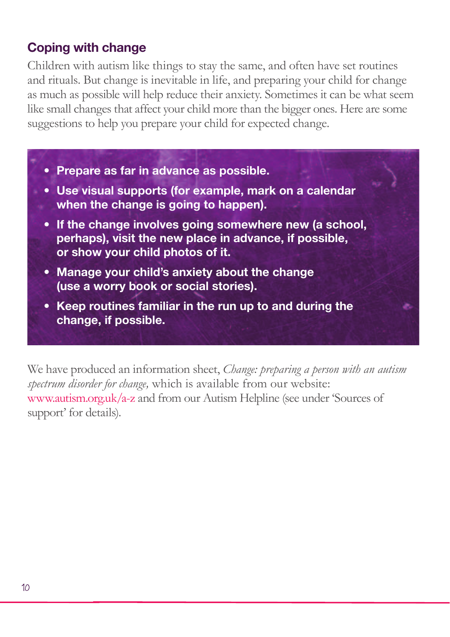#### **Coping with change**

Children with autism like things to stay the same, and often have set routines and rituals. But change is inevitable in life, and preparing your child for change as much as possible will help reduce their anxiety. Sometimes it can be what seem like small changes that affect your child more than the bigger ones. Here are some suggestions to help you prepare your child for expected change.

- **Prepare as far in advance as possible.**
- **Use visual supports (for example, mark on a calendar when the change is going to happen).**
- **If the change involves going somewhere new (a school, perhaps), visit the new place in advance, if possible, or show your child photos of it.**
- **Manage your child's anxiety about the change (use a worry book or social stories).**
- **Keep routines familiar in the run up to and during the change, if possible.**

We have produced an information sheet, *Change: preparing a person with an autism spectrum disorder for change,* which is available from our website: www.autism.org.uk/a-z and from our Autism Helpline (see under 'Sources of support' for details).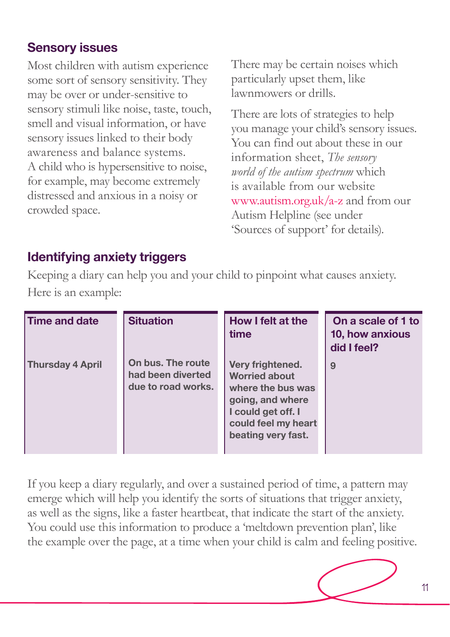#### **Sensory issues**

Most children with autism experience some sort of sensory sensitivity. They may be over or under-sensitive to sensory stimuli like noise, taste, touch, smell and visual information, or have sensory issues linked to their body awareness and balance systems. A child who is hypersensitive to noise, for example, may become extremely distressed and anxious in a noisy or crowded space.

There may be certain noises which particularly upset them, like lawnmowers or drills.

There are lots of strategies to help you manage your child's sensory issues. You can find out about these in our information sheet, *The sensory world of the autism spectrum* which is available from our website www.autism.org.uk/a-z and from our Autism Helpline (see under 'Sources of support' for details).

### **Identifying anxiety triggers**

Keeping a diary can help you and your child to pinpoint what causes anxiety. Here is an example:

| Time and date           | <b>Situation</b>                                             | How I felt at the<br>time                                                                                                                            | On a scale of 1 to<br>10, how anxious<br>did I feel? |
|-------------------------|--------------------------------------------------------------|------------------------------------------------------------------------------------------------------------------------------------------------------|------------------------------------------------------|
| <b>Thursday 4 April</b> | On bus. The route<br>had been diverted<br>due to road works. | Very frightened.<br><b>Worried about</b><br>where the bus was<br>going, and where<br>I could get off. I<br>could feel my heart<br>beating very fast. | 9                                                    |

If you keep a diary regularly, and over a sustained period of time, a pattern may emerge which will help you identify the sorts of situations that trigger anxiety, as well as the signs, like a faster heartbeat, that indicate the start of the anxiety. You could use this information to produce a 'meltdown prevention plan', like the example over the page, at a time when your child is calm and feeling positive.

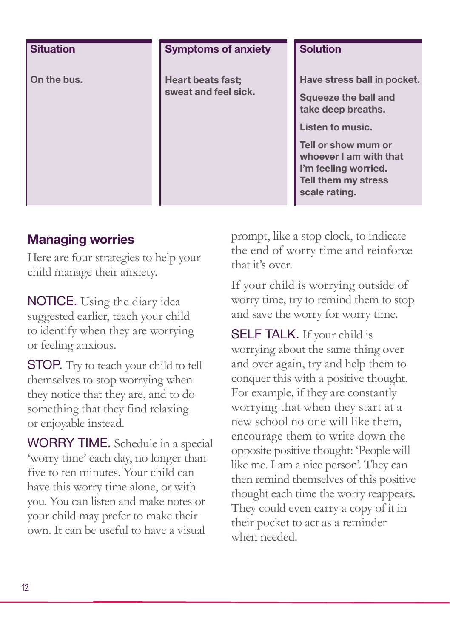| <b>Situation</b> | <b>Symptoms of anxiety</b>                       | <b>Solution</b>                                                                                                                                                                                                |
|------------------|--------------------------------------------------|----------------------------------------------------------------------------------------------------------------------------------------------------------------------------------------------------------------|
| On the bus.      | <b>Heart beats fast:</b><br>sweat and feel sick. | Have stress ball in pocket.<br>Squeeze the ball and<br>take deep breaths.<br>Listen to music.<br>Tell or show mum or<br>whoever I am with that<br>I'm feeling worried.<br>Tell them my stress<br>scale rating. |

#### **Managing worries**

Here are four strategies to help your child manage their anxiety.

NOTICE. Using the diary idea suggested earlier, teach your child to identify when they are worrying or feeling anxious.

**STOP.** Try to teach your child to tell themselves to stop worrying when they notice that they are, and to do something that they find relaxing or enjoyable instead.

WORRY TIME. Schedule in a special 'worry time' each day, no longer than five to ten minutes. Your child can have this worry time alone, or with you. You can listen and make notes or your child may prefer to make their own. It can be useful to have a visual

prompt, like a stop clock, to indicate the end of worry time and reinforce that it's over.

If your child is worrying outside of worry time, try to remind them to stop and save the worry for worry time.

SELF TALK. If your child is worrying about the same thing over and over again, try and help them to conquer this with a positive thought. For example, if they are constantly worrying that when they start at a new school no one will like them, encourage them to write down the opposite positive thought: 'People will like me. I am a nice person'. They can then remind themselves of this positive thought each time the worry reappears. They could even carry a copy of it in their pocket to act as a reminder when needed.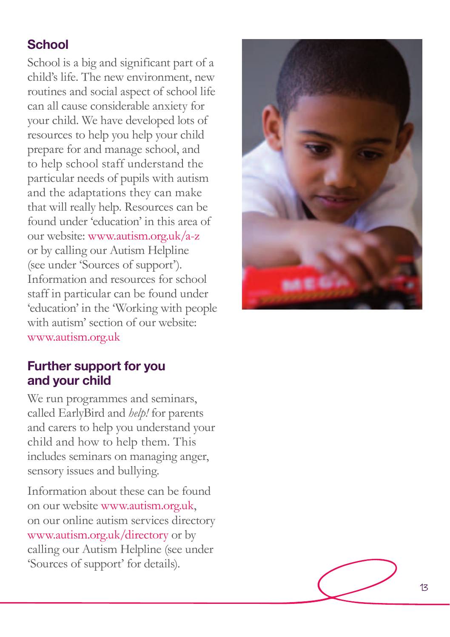### **School**

School is a big and significant part of a child's life. The new environment, new routines and social aspect of school life can all cause considerable anxiety for your child. We have developed lots of resources to help you help your child prepare for and manage school, and to help school staff understand the particular needs of pupils with autism and the adaptations they can make that will really help. Resources can be found under 'education' in this area of our website: www.autism.org.uk/a-z or by calling our Autism Helpline (see under 'Sources of support'). Information and resources for school staff in particular can be found under 'education' in the 'Working with people with autism' section of our website: www.autism.org.uk

#### **Further support for you and your child**

We run programmes and seminars, called EarlyBird and *help!* for parents and carers to help you understand your child and how to help them. This includes seminars on managing anger, sensory issues and bullying.

Information about these can be found on our website www.autism.org.uk, on our online autism services directory www.autism.org.uk/directory or by calling our Autism Helpline (see under 'Sources of support' for details).



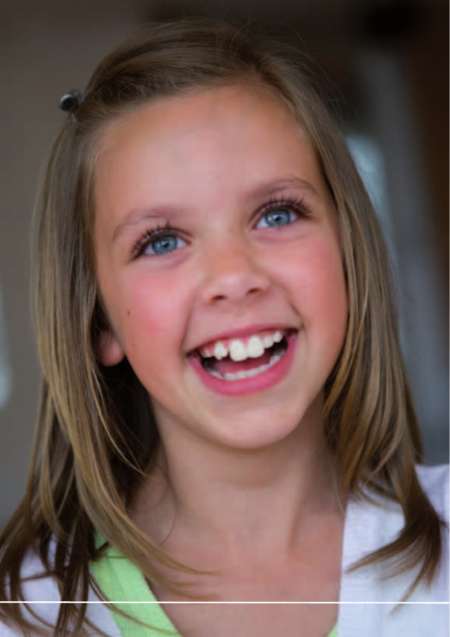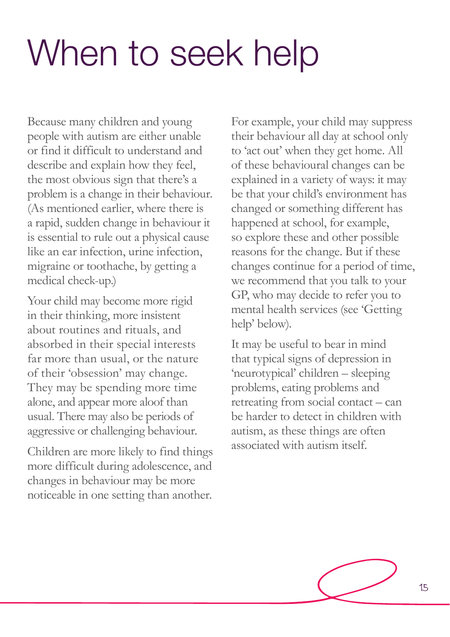### When to seek help

Because many children and young people with autism are either unable or find it difficult to understand and describe and explain how they feel, the most obvious sign that there's a problem is a change in their behaviour. (As mentioned earlier, where there is a rapid, sudden change in behaviour it is essential to rule out a physical cause like an ear infection, urine infection, migraine or toothache, by getting a medical check-up.)

Your child may become more rigid in their thinking, more insistent about routines and rituals, and absorbed in their special interests far more than usual, or the nature of their 'obsession' may change. They may be spending more time alone, and appear more aloof than usual. There may also be periods of aggressive or challenging behaviour.

Children are more likely to find things more difficult during adolescence, and changes in behaviour may be more noticeable in one setting than another.

For example, your child may suppress their behaviour all day at school only to 'act out' when they get home. All of these behavioural changes can be explained in a variety of ways: it may be that your child's environment has changed or something different has happened at school, for example, so explore these and other possible reasons for the change. But if these changes continue for a period of time, we recommend that you talk to your GP, who may decide to refer you to mental health services (see 'Getting help' below).

It may be useful to bear in mind that typical signs of depression in 'neurotypical' children – sleeping problems, eating problems and retreating from social contact – can be harder to detect in children with autism, as these things are often associated with autism itself.

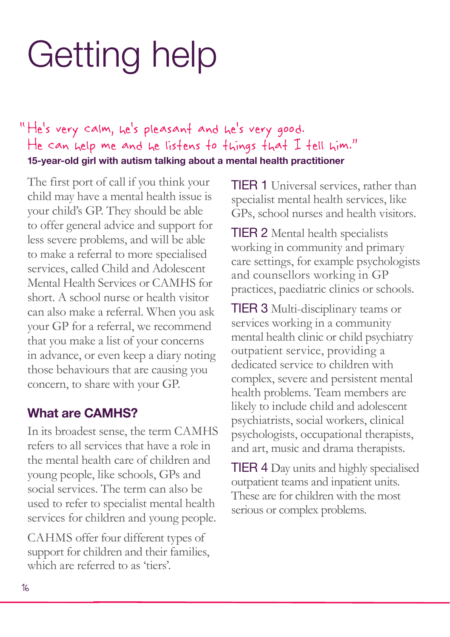# Getting help

"He's very calm, he's pleasant and he's very good. He can help me and he listens to things that I tell him." **15-year-old girl with autism talking about a mental health practitioner**

The first port of call if you think your child may have a mental health issue is your child's GP. They should be able to offer general advice and support for less severe problems, and will be able to make a referral to more specialised services, called Child and Adolescent Mental Health Services or CAMHS for short. A school nurse or health visitor can also make a referral. When you ask your GP for a referral, we recommend that you make a list of your concerns in advance, or even keep a diary noting those behaviours that are causing you concern, to share with your GP.

#### **What are CAMHS?**

In its broadest sense, the term CAMHS refers to all services that have a role in the mental health care of children and young people, like schools, GPs and social services. The term can also be used to refer to specialist mental health services for children and young people.

CAHMS offer four different types of support for children and their families, which are referred to as 'tiers'.

**TIER 1** Universal services, rather than specialist mental health services, like GPs, school nurses and health visitors.

**TIER 2** Mental health specialists working in community and primary care settings, for example psychologists and counsellors working in GP practices, paediatric clinics or schools.

TIER 3 Multi-disciplinary teams or services working in a community mental health clinic or child psychiatry outpatient service, providing a dedicated service to children with complex, severe and persistent mental health problems. Team members are likely to include child and adolescent psychiatrists, social workers, clinical psychologists, occupational therapists, and art, music and drama therapists.

**TIER 4** Day units and highly specialised outpatient teams and inpatient units. These are for children with the most serious or complex problems.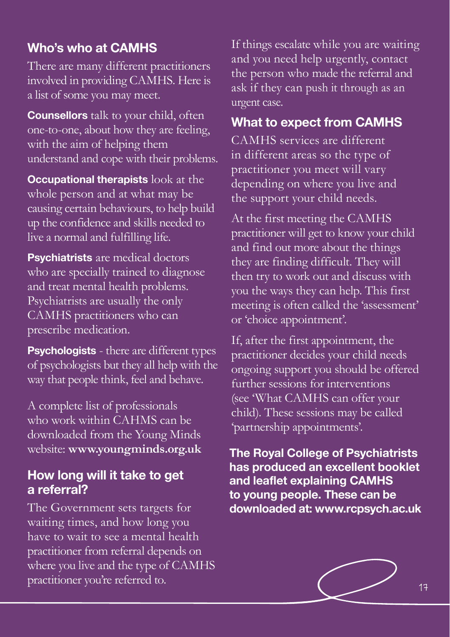#### **Who's who at CAMHS**

There are many different practitioners involved in providing CAMHS. Here is a list of some you may meet.

**Counsellors** talk to your child, often one-to-one, about how they are feeling, with the aim of helping them understand and cope with their problems.

**Occupational therapists** look at the whole person and at what may be causing certain behaviours, to help build up the confidence and skills needed to live a normal and fulfilling life.

**Psychiatrists** are medical doctors who are specially trained to diagnose and treat mental health problems. Psychiatrists are usually the only CAMHS practitioners who can prescribe medication.

**Psychologists** - there are different types of psychologists but they all help with the way that people think, feel and behave.

A complete list of professionals who work within CAHMS can be downloaded from the Young Minds website: **www.youngminds.org.uk**

#### **How long will it take to get a referral?**

The Government sets targets for waiting times, and how long you have to wait to see a mental health practitioner from referral depends on where you live and the type of CAMHS practitioner you're referred to.

If things escalate while you are waiting and you need help urgently, contact the person who made the referral and ask if they can push it through as an urgent case.

#### **What to expect from CAMHS**

CAMHS services are different in different areas so the type of practitioner you meet will vary depending on where you live and the support your child needs.

At the first meeting the CAMHS practitioner will get to know your child and find out more about the things they are finding difficult. They will then try to work out and discuss with you the ways they can help. This first meeting is often called the 'assessment' or 'choice appointment'.

If, after the first appointment, the practitioner decides your child needs ongoing support you should be offered further sessions for interventions (see 'What CAMHS can offer your child). These sessions may be called 'partnership appointments'.

**The Royal College of Psychiatrists has produced an excellent booklet and leaflet explaining CAMHS to young people. These can be downloaded at: www.rcpsych.ac.uk**

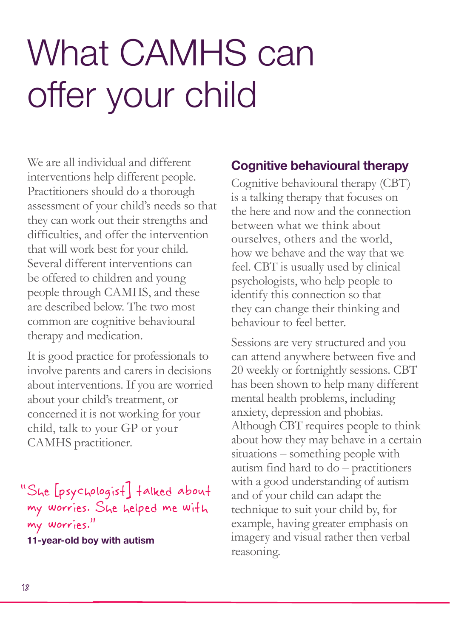# What CAMHS can offer your child

We are all individual and different interventions help different people. Practitioners should do a thorough assessment of your child's needs so that they can work out their strengths and difficulties, and offer the intervention that will work best for your child. Several different interventions can be offered to children and young people through CAMHS, and these are described below. The two most common are cognitive behavioural therapy and medication.

It is good practice for professionals to involve parents and carers in decisions about interventions. If you are worried about your child's treatment, or concerned it is not working for your child, talk to your GP or your CAMHS practitioner.

" She [psychologist] talked about my worries. She helped me with my worries." **11-year-old boy with autism**

#### **Cognitive behavioural therapy**

Cognitive behavioural therapy (CBT) is a talking therapy that focuses on the here and now and the connection between what we think about ourselves, others and the world, how we behave and the way that we feel. CBT is usually used by clinical psychologists, who help people to identify this connection so that they can change their thinking and behaviour to feel better.

Sessions are very structured and you can attend anywhere between five and 20 weekly or fortnightly sessions. CBT has been shown to help many different mental health problems, including anxiety, depression and phobias. Although CBT requires people to think about how they may behave in a certain situations – something people with autism find hard to do – practitioners with a good understanding of autism and of your child can adapt the technique to suit your child by, for example, having greater emphasis on imagery and visual rather then verbal reasoning.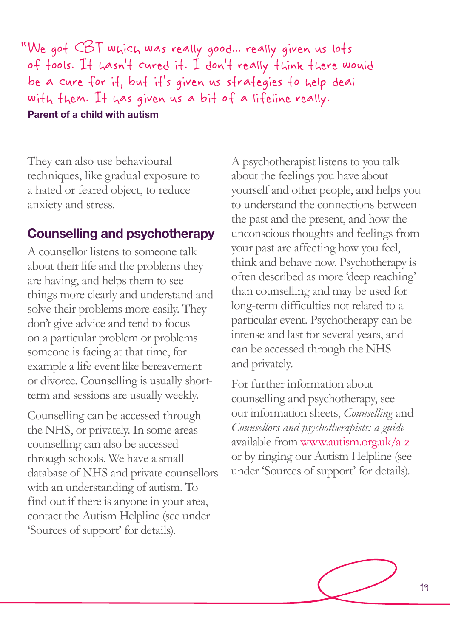" We got CBT which was really good... really given us lots of tools. It hasn't cured it. I don't really think there would be a cure for it, but it's given us strategies to help deal with them. It has given us a bit of a lifeline really. **Parent of a child with autism**

They can also use behavioural techniques, like gradual exposure to a hated or feared object, to reduce anxiety and stress.

#### **Counselling and psychotherapy**

A counsellor listens to someone talk about their life and the problems they are having, and helps them to see things more clearly and understand and solve their problems more easily. They don't give advice and tend to focus on a particular problem or problems someone is facing at that time, for example a life event like bereavement or divorce. Counselling is usually shortterm and sessions are usually weekly.

Counselling can be accessed through the NHS, or privately. In some areas counselling can also be accessed through schools. We have a small database of NHS and private counsellors with an understanding of autism. To find out if there is anyone in your area, contact the Autism Helpline (see under 'Sources of support' for details).

A psychotherapist listens to you talk about the feelings you have about yourself and other people, and helps you to understand the connections between the past and the present, and how the unconscious thoughts and feelings from your past are affecting how you feel, think and behave now. Psychotherapy is often described as more 'deep reaching' than counselling and may be used for long-term difficulties not related to a particular event. Psychotherapy can be intense and last for several years, and can be accessed through the NHS and privately.

For further information about counselling and psychotherapy, see our information sheets, *Counselling* and *Counsellors and psychotherapists: a guide* available from www.autism.org.uk/a-z or by ringing our Autism Helpline (see under 'Sources of support' for details).

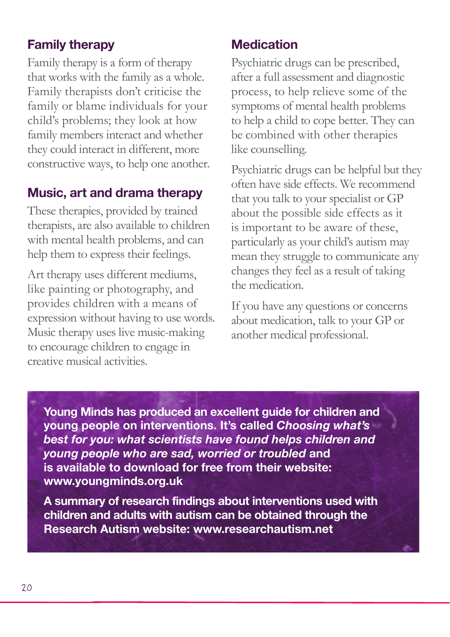#### **Family therapy**

Family therapy is a form of therapy that works with the family as a whole. Family therapists don't criticise the family or blame individuals for your child's problems; they look at how family members interact and whether they could interact in different, more constructive ways, to help one another.

#### **Music, art and drama therapy**

These therapies, provided by trained therapists, are also available to children with mental health problems, and can help them to express their feelings.

Art therapy uses different mediums, like painting or photography, and provides children with a means of expression without having to use words. Music therapy uses live music-making to encourage children to engage in creative musical activities.

#### **Medication**

Psychiatric drugs can be prescribed, after a full assessment and diagnostic process, to help relieve some of the symptoms of mental health problems to help a child to cope better. They can be combined with other therapies like counselling.

Psychiatric drugs can be helpful but they often have side effects. We recommend that you talk to your specialist or GP about the possible side effects as it is important to be aware of these, particularly as your child's autism may mean they struggle to communicate any changes they feel as a result of taking the medication.

If you have any questions or concerns about medication, talk to your GP or another medical professional.

**Young Minds has produced an excellent guide for children and young people on interventions. It's called** *Choosing what's best for you: what scientists have found helps children and young people who are sad, worried or troubled* **and is available to download for free from their website: www.youngminds.org.uk** 

**A summary of research findings about interventions used with children and adults with autism can be obtained through the Research Autism website: www.researchautism.net**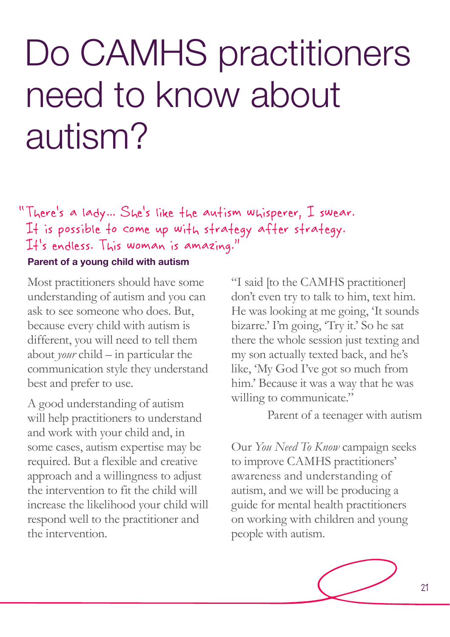## Do CAMHS practitioners need to know about autism?

 $"$ There's a lady... She's like the autism whisperer,  $I$  swear. It is possible to come up with strategy after strategy. It's endless. This woman is amazing." **Parent of a young child with autism**

Most practitioners should have some understanding of autism and you can ask to see someone who does. But, because every child with autism is different, you will need to tell them about *your* child – in particular the communication style they understand best and prefer to use.

A good understanding of autism will help practitioners to understand and work with your child and, in some cases, autism expertise may be required. But a flexible and creative approach and a willingness to adjust the intervention to fit the child will increase the likelihood your child will respond well to the practitioner and the intervention.

"I said [to the CAMHS practitioner] don't even try to talk to him, text him. He was looking at me going, 'It sounds bizarre.' I'm going, 'Try it.' So he sat there the whole session just texting and my son actually texted back, and he's like, 'My God I've got so much from him.' Because it was a way that he was willing to communicate."

Parent of a teenager with autism

Our *You Need To Know* campaign seeks to improve CAMHS practitioners' awareness and understanding of autism, and we will be producing a guide for mental health practitioners on working with children and young people with autism.

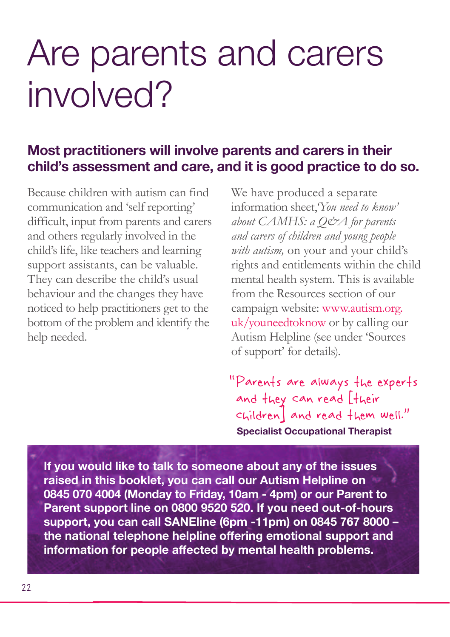### Are parents and carers involved?

#### **Most practitioners will involve parents and carers in their child's assessment and care, and it is good practice to do so.**

Because children with autism can find communication and 'self reporting' difficult, input from parents and carers and others regularly involved in the child's life, like teachers and learning support assistants, can be valuable. They can describe the child's usual behaviour and the changes they have noticed to help practitioners get to the bottom of the problem and identify the help needed.

We have produced a separate information sheet,*'You need to know' about CAMHS: a Q&A for parents and carers of children and young people with autism,* on your and your child's rights and entitlements within the child mental health system. This is available from the Resources section of our campaign website: www.autism.org. uk/youneedtoknow or by calling our Autism Helpline (see under 'Sources of support' for details).

" Parents are always the experts and they can read [their children] and read them well." **Specialist Occupational Therapist**

**If you would like to talk to someone about any of the issues raised in this booklet, you can call our Autism Helpline on 0845 070 4004 (Monday to Friday, 10am - 4pm) or our Parent to Parent support line on 0800 9520 520. If you need out-of-hours support, you can call SANEline (6pm -11pm) on 0845 767 8000 – the national telephone helpline offering emotional support and information for people affected by mental health problems.**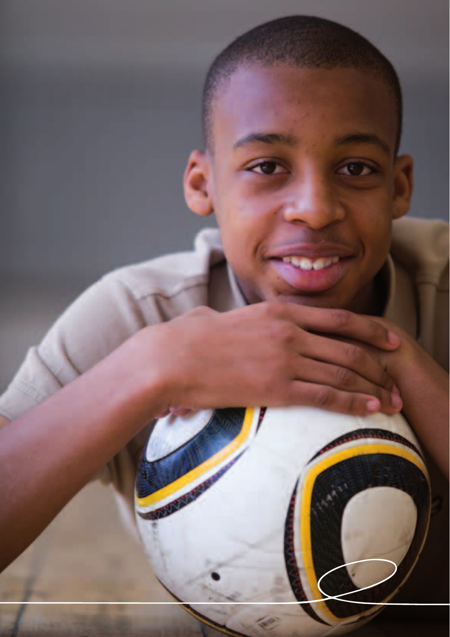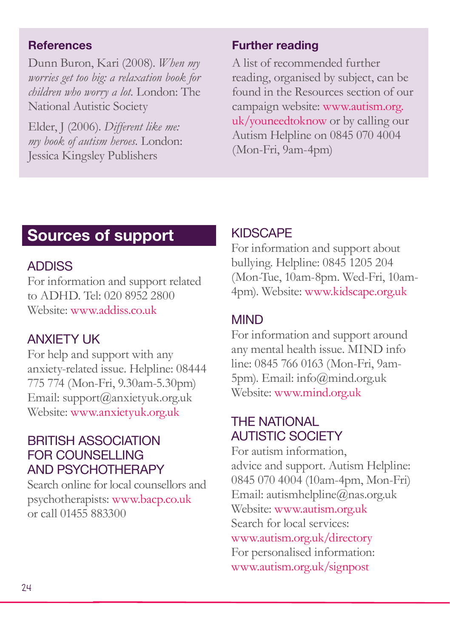#### **References**

Dunn Buron, Kari (2008). *When my worries get too big: a relaxation book for children who worry a lot.* London: The National Autistic Society

Elder, J (2006). *Different like me: my book of autism heroes.* London: Jessica Kingsley Publishers

#### **Further reading**

A list of recommended further reading, organised by subject, can be found in the Resources section of our campaign website: www.autism.org. uk/youneedtoknow or by calling our Autism Helpline on 0845 070 4004 (Mon-Fri, 9am-4pm)

### **Sources of support**

#### ADDISS

For information and support related to ADHD. Tel: 020 8952 2800 Website: www.addiss.co.uk

#### **ANXIETY UK**

For help and support with any anxiety-related issue. Helpline: 08444 775 774 (Mon-Fri, 9.30am-5.30pm) Email: support@anxietyuk.org.uk Website: www.anxietyuk.org.uk

#### British Association for Counselling and Psychotherapy

Search online for local counsellors and psychotherapists: www.bacp.co.uk or call 01455 883300

#### **KIDSCAPF**

For information and support about bullying. Helpline: 0845 1205 204 (Mon-Tue, 10am-8pm. Wed-Fri, 10am-4pm). Website: www.kidscape.org.uk

#### **MIND**

For information and support around any mental health issue. MIND info line: 0845 766 0163 (Mon-Fri, 9am-5pm). Email: info@mind.org.uk Website: www.mind.org.uk

#### **THE NATIONAL** AUTISTIC SOCIETY

For autism information, advice and support. Autism Helpline: 0845 070 4004 (10am-4pm, Mon-Fri) Email: autismhelpline@nas.org.uk Website: www.autism.org.uk Search for local services: www.autism.org.uk/directory For personalised information: www.autism.org.uk/signpost